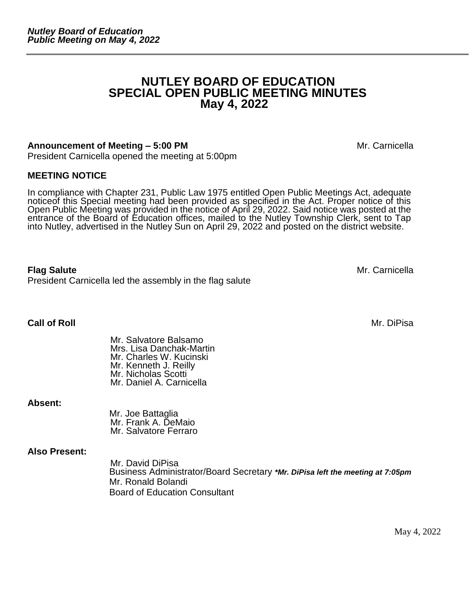# **NUTLEY BOARD OF EDUCATION SPECIAL OPEN PUBLIC MEETING MINUTES May 4, 2022**

#### **Announcement of Meeting – 5:00 PM Mexical Announcement of Meeting – 5:00 PM**

President Carnicella opened the meeting at 5:00pm

#### **MEETING NOTICE**

In compliance with Chapter 231, Public Law 1975 entitled Open Public Meetings Act, adequate noticeof this Special meeting had been provided as specified in the Act. Proper notice of this Open Public Meeting was provided in the notice of April 29, 2022. Said notice was posted at the entrance of the Board of Education offices, mailed to the Nutley Township Clerk, sent to Tap into Nutley, advertised in the Nutley Sun on April 29, 2022 and posted on the district website.

**Flag Salute** Mr. Carnicella President Carnicella led the assembly in the flag salute

**Call of Roll** Mr. DiPisa

Mr. Salvatore Balsamo Mrs. Lisa Danchak-Martin Mr. Charles W. Kucinski Mr. Kenneth J. Reilly

**Absent:**

 Mr. Joe Battaglia Mr. Frank A. DeMaio Mr. Salvatore Ferraro

Mr. Nicholas Scotti Mr. Daniel A. Carnicella

#### **Also Present:**

Mr. David DiPisa Business Administrator/Board Secretary *\*Mr. DiPisa left the meeting at 7:05pm* Mr. Ronald Bolandi Board of Education Consultant

May 4, 2022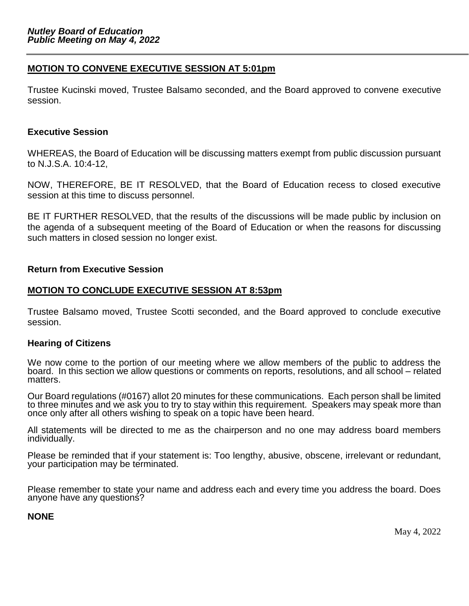### **MOTION TO CONVENE EXECUTIVE SESSION AT 5:01pm**

Trustee Kucinski moved, Trustee Balsamo seconded, and the Board approved to convene executive session.

#### **Executive Session**

WHEREAS, the Board of Education will be discussing matters exempt from public discussion pursuant to N.J.S.A. 10:4-12,

NOW, THEREFORE, BE IT RESOLVED, that the Board of Education recess to closed executive session at this time to discuss personnel.

BE IT FURTHER RESOLVED, that the results of the discussions will be made public by inclusion on the agenda of a subsequent meeting of the Board of Education or when the reasons for discussing such matters in closed session no longer exist.

#### **Return from Executive Session**

#### **MOTION TO CONCLUDE EXECUTIVE SESSION AT 8:53pm**

Trustee Balsamo moved, Trustee Scotti seconded, and the Board approved to conclude executive session.

#### **Hearing of Citizens**

We now come to the portion of our meeting where we allow members of the public to address the board. In this section we allow questions or comments on reports, resolutions, and all school – related matters.

Our Board regulations (#0167) allot 20 minutes for these communications. Each person shall be limited to three minutes and we ask you to try to stay within this requirement. Speakers may speak more than once only after all others wishing to speak on a topic have been heard.

All statements will be directed to me as the chairperson and no one may address board members individually.

Please be reminded that if your statement is: Too lengthy, abusive, obscene, irrelevant or redundant, your participation may be terminated.

Please remember to state your name and address each and every time you address the board. Does anyone have any questions?

#### **NONE**

May 4, 2022